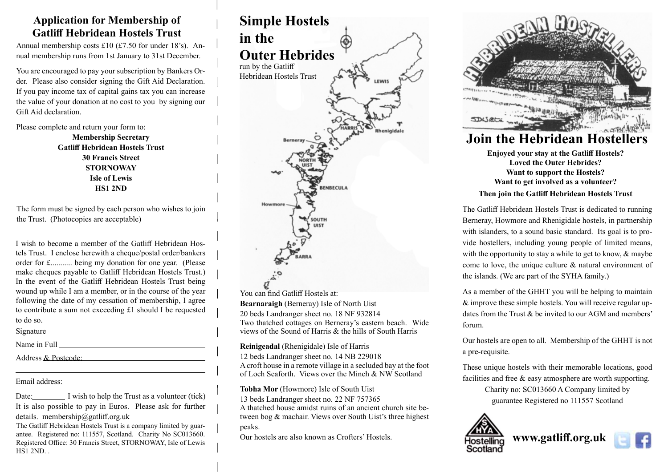#### **Application for Membership of Gatliff Hebridean Hostels Trust**

Annual membership costs £10 (£7.50 for under 18's). Annual membership runs from 1st January to 31st December.

You are encouraged to pay your subscription by Bankers Order. Please also consider signing the Gift Aid Declaration. If you pay income tax of capital gains tax you can increase the value of your donation at no cost to you by signing our Gift Aid declaration.

Please complete and return your form to:

**Membership Secretary Gatliff Hebridean Hostels Trust 30 Francis Street STORNOWAY Isle of Lewis HS1 2ND**

The form must be signed by each person who wishes to join the Trust. (Photocopies are acceptable)

I wish to become a member of the Gatliff Hebridean Hostels Trust. I enclose herewith a cheque/postal order/bankers order for £........... being my donation for one year. (Please make cheques payable to Gatliff Hebridean Hostels Trust.) In the event of the Gatliff Hebridean Hostels Trust being wound up while I am a member, or in the course of the year following the date of my cessation of membership, I agree to contribute a sum not exceeding £1 should I be requested to do so.

Signature

 $\overline{a}$ 

Name in Full

Address & Postcode:

Email address:

Date: I wish to help the Trust as a volunteer (tick) It is also possible to pay in Euros. Please ask for further details. membership@gatliff.org.uk

The Gatliff Hebridean Hostels Trust is a company limited by guarantee. Registered no: 111557, Scotland. Charity No SC013660. Registered Office: 30 Francis Street, STORNOWAY, Isle of Lewis HS1 2ND. .



You can find Gatliff Hostels at: **Bearnaraigh** (Berneray) Isle of North Uist 20 beds Landranger sheet no. 18 NF 932814 Two thatched cottages on Berneray's eastern beach. Wide views of the Sound of Harris & the hills of South Harris

**Reinigeadal** (Rhenigidale) Isle of Harris

12 beds Landranger sheet no. 14 NB 229018 A croft house in a remote village in a secluded bay at the foot of Loch Seaforth. Views over the Minch & NW Scotland

**Tobha Mor** (Howmore) Isle of South Uist 13 beds Landranger sheet no. 22 NF 757365 A thatched house amidst ruins of an ancient church site between bog & machair. Views over South Uist's three highest peaks.

Our hostels are also known as Crofters' Hostels.



**Enjoyed your stay at the Gatliff Hostels? Loved the Outer Hebrides? Want to support the Hostels? Want to get involved as a volunteer?**

#### **Then join the Gatliff Hebridean Hostels Trust**

The Gatliff Hebridean Hostels Trust is dedicated to running Berneray, Howmore and Rhenigidale hostels, in partnership with islanders, to a sound basic standard. Its goal is to provide hostellers, including young people of limited means, with the opportunity to stay a while to get to know, & maybe come to love, the unique culture & natural environment of the islands. (We are part of the SYHA family.)

As a member of the GHHT you will be helping to maintain & improve these simple hostels. You will receive regular updates from the Trust  $\&$  be invited to our AGM and members' forum.

Our hostels are open to all. Membership of the GHHT is not a pre-requisite.

These unique hostels with their memorable locations, good facilities and free & easy atmosphere are worth supporting.

> Charity no: SC013660 A Company limited by guarantee Registered no 111557 Scotland



**www.gatliff.org.uk**